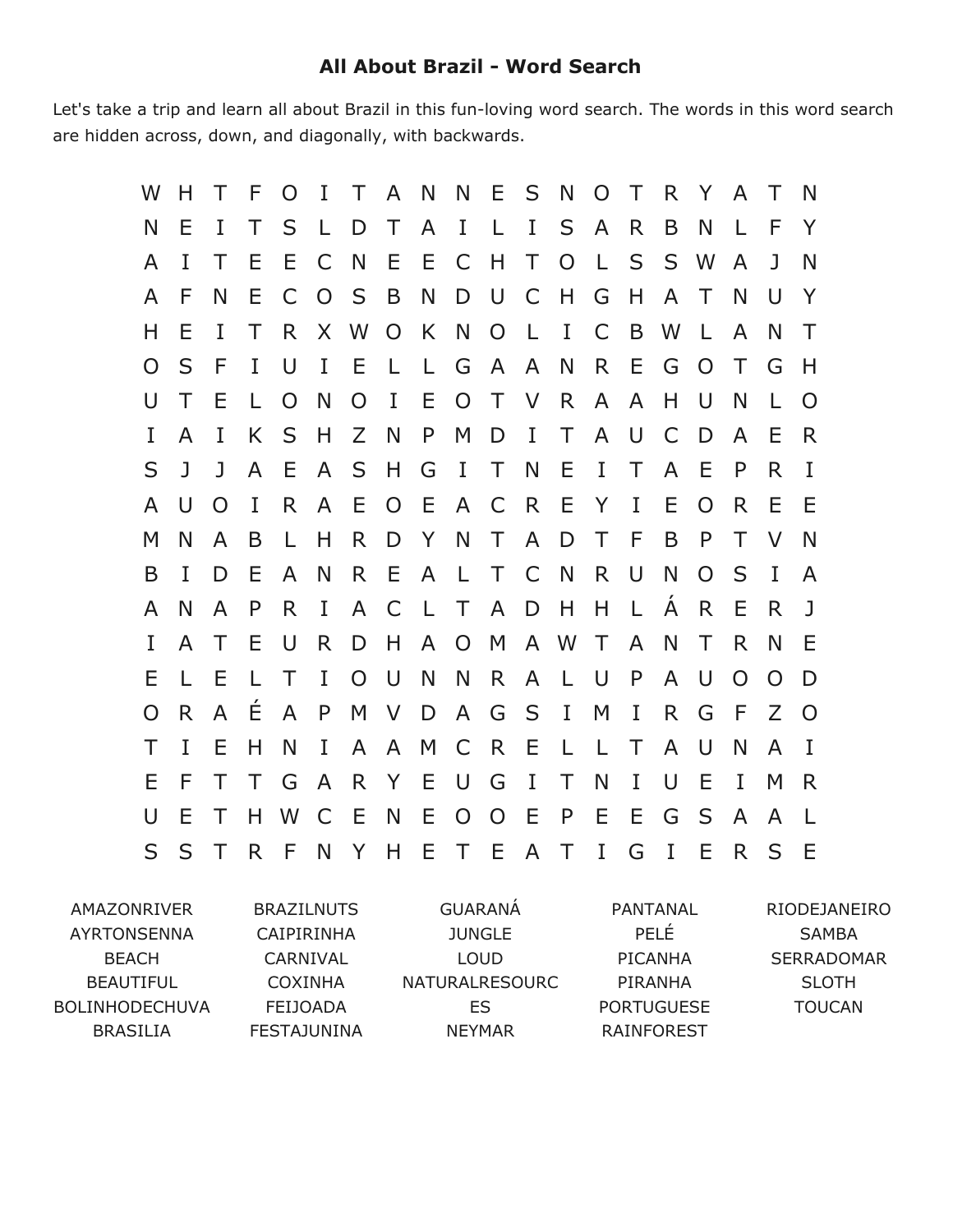## **All About Brazil Word Search**

Let's take a trip and learn all about Brazil in this fun-loving word search. The words in this word search are hidden across, down, and diagonally, with backwards.

| W | Н  | Τ        | F            | $\Omega$ | I              | Τ              | A              | N            | N              | E              | S            | N            | $\Omega$     | Τ            | R | Y            | A        | Τ            | N            |
|---|----|----------|--------------|----------|----------------|----------------|----------------|--------------|----------------|----------------|--------------|--------------|--------------|--------------|---|--------------|----------|--------------|--------------|
| N | Е  | I        | Τ            | S        | L              | D              | Τ              | A            | I              | $\mathsf{L}$   | $\bf{I}$     | S            | A            | R            | B | N            | L        | F            | Y            |
| A | I  | Τ        | Ε            | Ε        | C              | N              | Е              | Е            | C              | H              | T            | $\Omega$     | $\mathbf{L}$ | S            | S | W            | A        | $\mathbf{J}$ | N            |
| A | F  | N        | Ε            | C        | $\overline{O}$ | S              | B              | N            | D              | <b>U</b>       | $\mathsf{C}$ | Н            | G            | Н            | A | Τ            | N        | U            | Y            |
| Н | Е  | I        | Τ            | R.       | X              | W              | $\overline{O}$ | K            | N              | $\overline{O}$ | $\mathsf{L}$ | I            | C            | B            | W | $\mathbf{L}$ | A        | N            | Τ            |
| O | S  | F        | I            | U        | I              | Е              | L.             | L            | G              | $\mathsf{A}$   | $\mathsf{A}$ | N            | R.           | Е            | G | O            | Τ        | G            | Н            |
| U | T  | E        | L            | $\Omega$ | N              | $\overline{O}$ | I              | Е            | O T            |                | $\vee$       | R.           | $\mathsf{A}$ | A            | H | U            | N        | $\mathbf{L}$ | $\Omega$     |
| I | A  | I        | K            | S        | H              | Z              | N              | P            | M              | D              | $\mathbf{I}$ | T.           | A            | U            | C | D            | A        | Ε            | R            |
| S | J  | J        | A            | E        | A              | S              | H              | G            | I              | $\top$         | N            | E            | I            | Т            | A | E            | P        | R            | I            |
| A | U  | $\Omega$ | I            | R.       | A              | Е              | O              | E            | A              | C              | R            | E            | Y            | I            | Ε | O            | R.       | Е            | Ε            |
| M | N  | A        | B            | L        | H              | R              | D              | Y            | N              | $\top$         | $\mathsf{A}$ | D            | Τ            | F            | B | P            | Τ        | V            | N            |
| B | T  | D        | Ε            | A        | N              | R              | E              | $\mathsf{A}$ | L T            |                | C            | N            | R.           | U            | N | $\Omega$     | S        | T            | A            |
| A | N  | A        | P            | R.       | I              | $\mathsf{A}$   | $\mathsf{C}$   | $\mathsf{L}$ | $\top$         | $\mathsf{A}$   | D            | H            | H            | $\mathbf{L}$ | Á | R            | E        | R            | $\mathbf{J}$ |
| I | A  | Τ        | Ε            | U        | R              | D              | Н              | $\mathsf{A}$ | $\overline{O}$ | M              |              | A W          | T.           | A            | N | Т            | R        | N            | Ε            |
| Е |    | Ε        | $\mathbf{L}$ | $\top$   | I              | $\Omega$       | U              | N            | N              | $R_{\perp}$    | $\mathsf{A}$ | $\mathbb{R}$ | <sup>U</sup> | P            | A | $\cup$       | $\Omega$ | $\Omega$     | D            |
| O | R. | A        | Ε            | A        | P              | M              | V              | D            | A              | G              | S            | $\bf{I}$     | M            | I            | R | G            | F        | Z            | $\Omega$     |
| Τ | I  | Е        | H            | N        | I              | A              | A              | M            | C              | R              | Ε            | L            | $\mathsf{L}$ | Τ            | A | U            | N        | A            | $\bf{I}$     |
| E | F  | T        | T            | G        | A              | R.             | Y              | Е            | $\cup$         | G              | $\bf{I}$     | T            | N            | I            | U | Ε            | I        | M            | R            |
| U | Е  | $\top$   | Н            | W        | C              | E              | N              | Е            | $\Omega$       | O              | Ε            | P            | Е            | Ε            | G | S            | A        | A            | -L.          |
| S | S  | Τ        | R            | F        | N              | Y              | H              | Е            | T E            |                | A            | $\top$       | I            | G            | I | Ε            | R.       | S            | -E           |

AMAZONRIVER AYRTONSENNA BEACH BEAUTIFUL BOLINHODECHUVA BRASILIA

BRAZILNUTS CAIPIRINHA CARNIVAL COXINHA FEIJOADA FESTAJUNINA

GUARANÁ JUNGLE LOUD NATURALRESOURC ES NEYMAR

PANTANAL PELÉ PICANHA PIRANHA PORTUGUESE RAINFOREST

RIODEJANEIRO SAMBA SERRADOMAR SLOTH TOUCAN